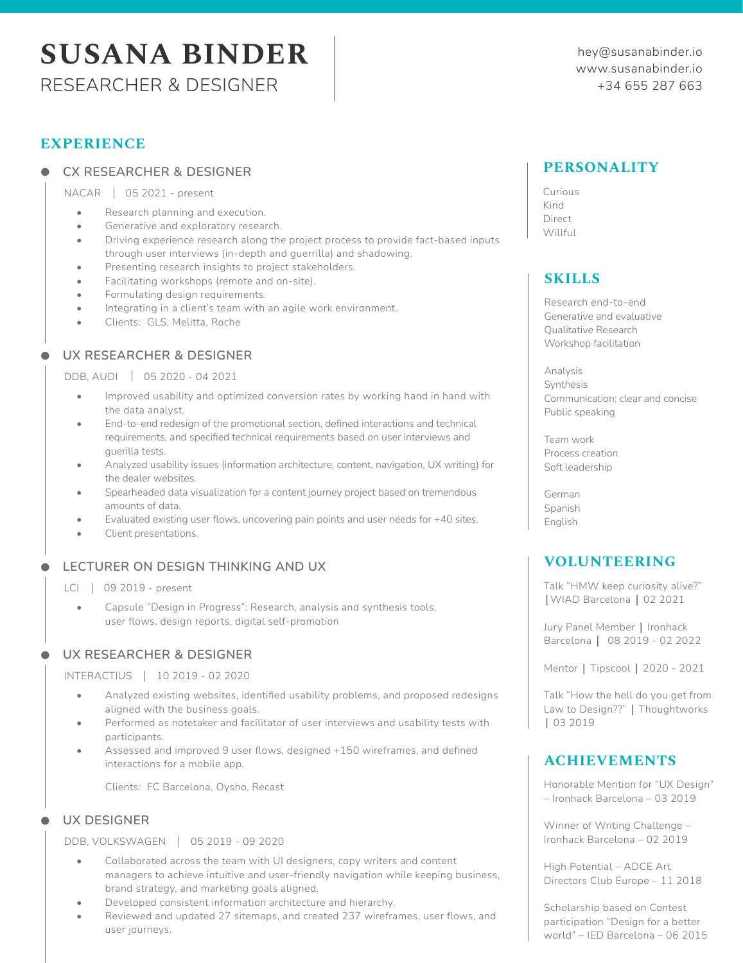# **SUSANA BINDER** RESEARCHER & DESIGNER

# **EXPERIENCE**

#### **CX RESEARCHER & DESIGNER**

NACAR 05 2021 - present

- Research planning and execution.
- Generative and exploratory research.
- Driving experience research along the project process to provide fact-based inputs through user interviews (in-depth and guerrilla) and shadowing.
- Presenting research insights to project stakeholders.
- Facilitating workshops (remote and on-site).
- Formulating design requirements.
- Integrating in a client's team with an agile work environment.
- Clients: GLS, Melitta, Roche

# **UX RESEARCHER & DESIGNER**

DDB, AUDI 05 2020 - 04 2021

- Improved usability and optimized conversion rates by working hand in hand with the data analyst.
- End-to-end redesign of the promotional section, defined interactions and technical requirements, and specified technical requirements based on user interviews and guerilla tests.
- Analyzed usability issues (information architecture, content, navigation, UX writing) for the dealer websites.
- Spearheaded data visualization for a content journey project based on tremendous amounts of data.
- Evaluated existing user flows, uncovering pain points and user needs for +40 sites.
- Client presentations.

### **LECTURER ON DESIGN THINKING AND UX**

- LCI 09 2019 present
	- Capsule "Design in Progress": Research, analysis and synthesis tools, user flows, design reports, digital self-promotion

## **UX RESEARCHER & DESIGNER**

INTERACTIUS 10 2019 - 02 2020

- Analyzed existing websites, identified usability problems, and proposed redesigns aligned with the business goals.
- Performed as notetaker and facilitator of user interviews and usability tests with participants.
- Assessed and improved 9 user flows, designed +150 wireframes, and defined interactions for a mobile app.

Clients: FC Barcelona, Oysho, Recast

# **UX DESIGNER**

DDB, VOLKSWAGEN 05 2019 - 09 2020

- Collaborated across the team with UI designers, copy writers and content managers to achieve intuitive and user-friendly navigation while keeping business, brand strategy, and marketing goals aligned.
- Developed consistent information architecture and hierarchy.
- Reviewed and updated 27 sitemaps, and created 237 wireframes, user flows, and user journeys.

# **PERSONALITY**

Curious Kind Direct Willful

# **SKILLS**

Research end-to-end Generative and evaluative Qualitative Research Workshop facilitation

Analysis Synthesis Communication: clear and concise Public speaking

Team work Process creation Soft leadership

German Spanish English

# **VOLUNTEERING**

Talk "HMW keep curiosity alive?" ⎮WIAD Barcelona ⎮ 02 2021

Jury Panel Member | Ironhack Barcelona | 08 2019 - 02 2022

Mentor | Tipscool | 2020 - 2021

Talk "How the hell do you get from Law to Design??" | Thoughtworks ⎮ 03 2019

# **ACHIEVEMENTS**

Honorable Mention for "UX Design" – Ironhack Barcelona – 03 2019

Winner of Writing Challenge – Ironhack Barcelona – 02 2019

High Potential – ADCE Art Directors Club Europe – 11 2018

Scholarship based on Contest participation "Design for a better world" – IED Barcelona – 06 2015